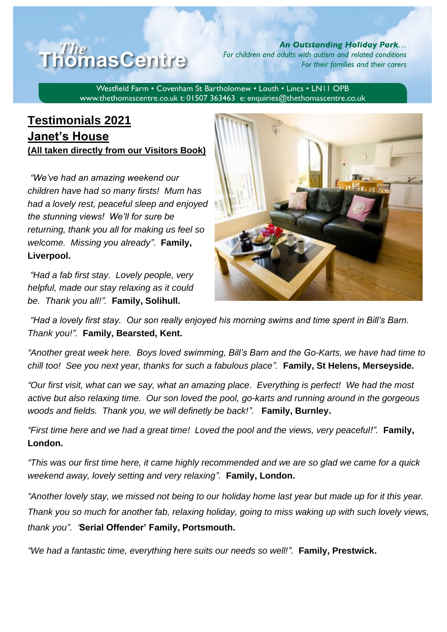

**An Outstanding Holiday Park...** For children and adults with autism and related conditions For their families and their carers

Westfield Farm . Covenham St Bartholomew . Louth . Lincs . LN11 OPB www.thethomascentre.co.uk t: 01507 363463 e: enquiries@thethomascentre.co.uk

## **Testimonials 2021 Janet's House (All taken directly from our Visitors Book)**

*"We've had an amazing weekend our children have had so many firsts! Mum has had a lovely rest, peaceful sleep and enjoyed the stunning views! We'll for sure be returning, thank you all for making us feel so welcome. Missing you already"*. **Family, Liverpool.**

*"Had a fab first stay. Lovely people, very helpful, made our stay relaxing as it could be. Thank you all!".* **Family, Solihull.**



*"Had a lovely first stay. Our son really enjoyed his morning swims and time spent in Bill's Barn. Thank you!".* **Family, Bearsted, Kent.**

*"Another great week here. Boys loved swimming, Bill's Barn and the Go-Karts, we have had time to chill too! See you next year, thanks for such a fabulous place".* **Family, St Helens, Merseyside.**

*"Our first visit, what can we say, what an amazing place. Everything is perfect! We had the most active but also relaxing time. Our son loved the pool, go-karts and running around in the gorgeous woods and fields. Thank you, we will definetly be back!".* **Family, Burnley.**

*"First time here and we had a great time! Loved the pool and the views, very peaceful!".* **Family, London.**

*"This was our first time here, it came highly recommended and we are so glad we came for a quick weekend away, lovely setting and very relaxing".* **Family, London.**

*"Another lovely stay, we missed not being to our holiday home last year but made up for it this year. Thank you so much for another fab, relaxing holiday, going to miss waking up with such lovely views, thank you". '***Serial Offender' Family, Portsmouth.**

*"We had a fantastic time, everything here suits our needs so well!".* **Family, Prestwick.**